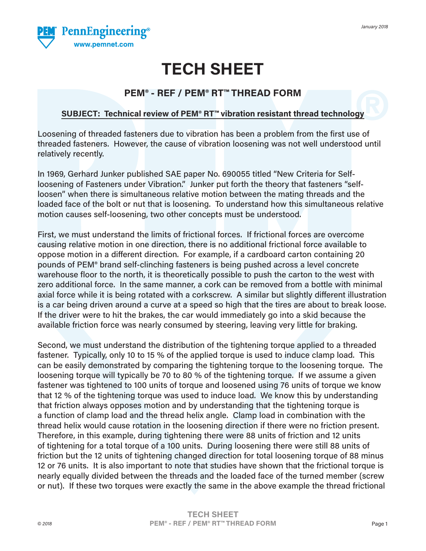

# **TECH SHEET**

# **PEM® - REF / PEM® RT™ THREAD FORM**

## **SUBJECT: Technical review of PEM® RT™ vibration resistant thread technology**

Loosening of threaded fasteners due to vibration has been a problem from the first use of threaded fasteners. However, the cause of vibration loosening was not well understood until relatively recently.

In 1969, Gerhard Junker published SAE paper No. 690055 titled "New Criteria for Selfloosening of Fasteners under Vibration." Junker put forth the theory that fasteners "selfloosen" when there is simultaneous relative motion between the mating threads and the loaded face of the bolt or nut that is loosening. To understand how this simultaneous relative motion causes self-loosening, two other concepts must be understood.

First, we must understand the limits of frictional forces. If frictional forces are overcome causing relative motion in one direction, there is no additional frictional force available to oppose motion in a different direction. For example, if a cardboard carton containing 20 pounds of PEM® brand self-clinching fasteners is being pushed across a level concrete warehouse floor to the north, it is theoretically possible to push the carton to the west with zero additional force. In the same manner, a cork can be removed from a bottle with minimal axial force while it is being rotated with a corkscrew. A similar but slightly different illustration is a car being driven around a curve at a speed so high that the tires are about to break loose. If the driver were to hit the brakes, the car would immediately go into a skid because the available friction force was nearly consumed by steering, leaving very little for braking.

Second, we must understand the distribution of the tightening torque applied to a threaded fastener. Typically, only 10 to 15 % of the applied torque is used to induce clamp load. This can be easily demonstrated by comparing the tightening torque to the loosening torque. The loosening torque will typically be 70 to 80 % of the tightening torque. If we assume a given fastener was tightened to 100 units of torque and loosened using 76 units of torque we know that 12 % of the tightening torque was used to induce load. We know this by understanding that friction always opposes motion and by understanding that the tightening torque is a function of clamp load and the thread helix angle. Clamp load in combination with the thread helix would cause rotation in the loosening direction if there were no friction present. Therefore, in this example, during tightening there were 88 units of friction and 12 units of tightening for a total torque of a 100 units. During loosening there were still 88 units of friction but the 12 units of tightening changed direction for total loosening torque of 88 minus 12 or 76 units. It is also important to note that studies have shown that the frictional torque is nearly equally divided between the threads and the loaded face of the turned member (screw or nut). If these two torques were exactly the same in the above example the thread frictional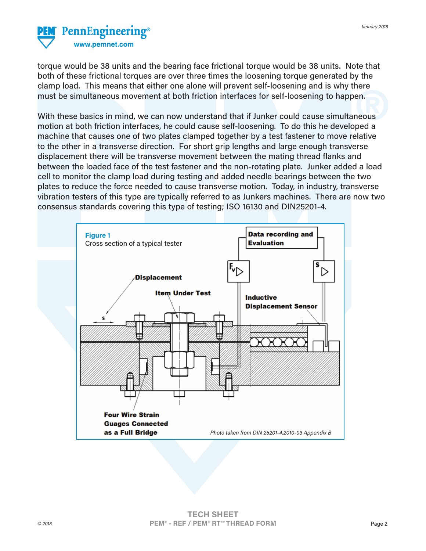

torque would be 38 units and the bearing face frictional torque would be 38 units. Note that both of these frictional torques are over three times the loosening torque generated by the clamp load. This means that either one alone will prevent self-loosening and is why there must be simultaneous movement at both friction interfaces for self-loosening to happen.

With these basics in mind, we can now understand that if Junker could cause simultaneous motion at both friction interfaces, he could cause self-loosening. To do this he developed a machine that causes one of two plates clamped together by a test fastener to move relative to the other in a transverse direction. For short grip lengths and large enough transverse displacement there will be transverse movement between the mating thread flanks and between the loaded face of the test fastener and the non-rotating plate. Junker added a load cell to monitor the clamp load during testing and added needle bearings between the two plates to reduce the force needed to cause transverse motion. Today, in industry, transverse vibration testers of this type are typically referred to as Junkers machines. There are now two consensus standards covering this type of testing; ISO 16130 and DIN25201-4.

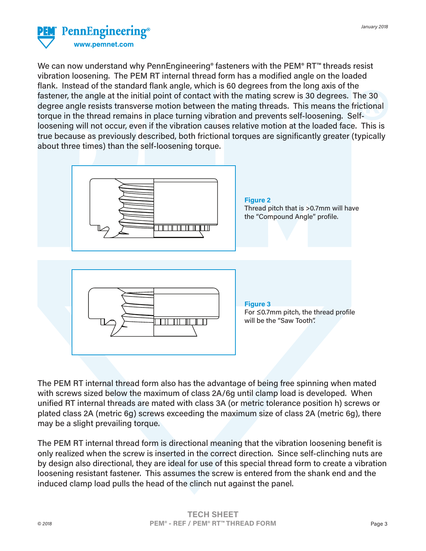

We can now understand why PennEngineering<sup>®</sup> fasteners with the PEM® RT™ threads resist vibration loosening. The PEM RT internal thread form has a modified angle on the loaded flank. Instead of the standard flank angle, which is 60 degrees from the long axis of the fastener, the angle at the initial point of contact with the mating screw is 30 degrees. The 30 degree angle resists transverse motion between the mating threads. This means the frictional torque in the thread remains in place turning vibration and prevents self-loosening. Selfloosening will not occur, even if the vibration causes relative motion at the loaded face. This is true because as previously described, both frictional torques are significantly greater (typically about three times) than the self-loosening torque.



**Figure 2** Thread pitch that is >0.7mm will have the "Compound Angle" profile.



**Figure 3** For ≤0.7mm pitch, the thread profile will be the "Saw Tooth".

The PEM RT internal thread form also has the advantage of being free spinning when mated with screws sized below the maximum of class 2A/6g until clamp load is developed. When unified RT internal threads are mated with class 3A (or metric tolerance position h) screws or plated class 2A (metric 6g) screws exceeding the maximum size of class 2A (metric 6g), there may be a slight prevailing torque.

The PEM RT internal thread form is directional meaning that the vibration loosening benefit is only realized when the screw is inserted in the correct direction. Since self-clinching nuts are by design also directional, they are ideal for use of this special thread form to create a vibration loosening resistant fastener. This assumes the screw is entered from the shank end and the induced clamp load pulls the head of the clinch nut against the panel.